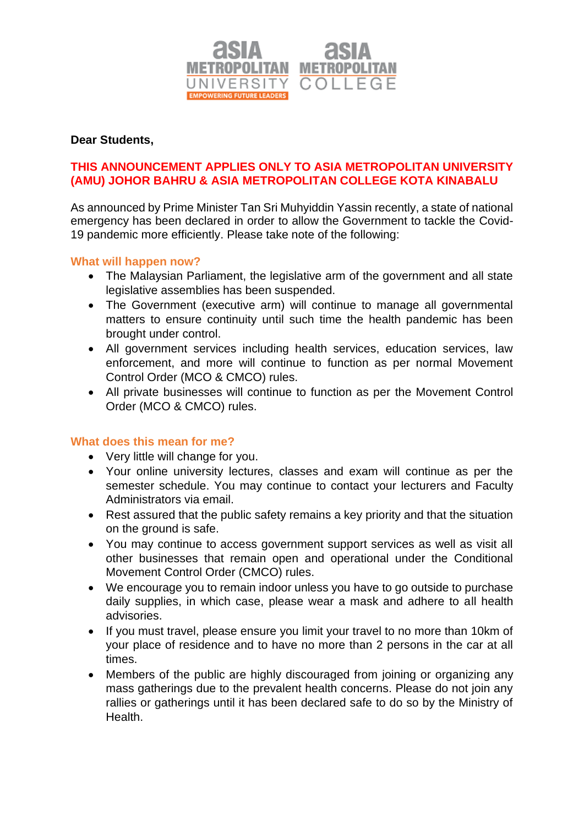

### **Dear Students,**

# **THIS ANNOUNCEMENT APPLIES ONLY TO ASIA METROPOLITAN UNIVERSITY (AMU) JOHOR BAHRU & ASIA METROPOLITAN COLLEGE KOTA KINABALU**

As announced by Prime Minister Tan Sri Muhyiddin Yassin recently, a state of national emergency has been declared in order to allow the Government to tackle the Covid-19 pandemic more efficiently. Please take note of the following:

#### **What will happen now?**

- The Malaysian Parliament, the legislative arm of the government and all state legislative assemblies has been suspended.
- The Government (executive arm) will continue to manage all governmental matters to ensure continuity until such time the health pandemic has been brought under control.
- All government services including health services, education services, law enforcement, and more will continue to function as per normal Movement Control Order (MCO & CMCO) rules.
- All private businesses will continue to function as per the Movement Control Order (MCO & CMCO) rules.

#### **What does this mean for me?**

- Very little will change for you.
- Your online university lectures, classes and exam will continue as per the semester schedule. You may continue to contact your lecturers and Faculty Administrators via email.
- Rest assured that the public safety remains a key priority and that the situation on the ground is safe.
- You may continue to access government support services as well as visit all other businesses that remain open and operational under the Conditional Movement Control Order (CMCO) rules.
- We encourage you to remain indoor unless you have to go outside to purchase daily supplies, in which case, please wear a mask and adhere to all health advisories.
- If you must travel, please ensure you limit your travel to no more than 10km of your place of residence and to have no more than 2 persons in the car at all times.
- Members of the public are highly discouraged from joining or organizing any mass gatherings due to the prevalent health concerns. Please do not join any rallies or gatherings until it has been declared safe to do so by the Ministry of **Health**